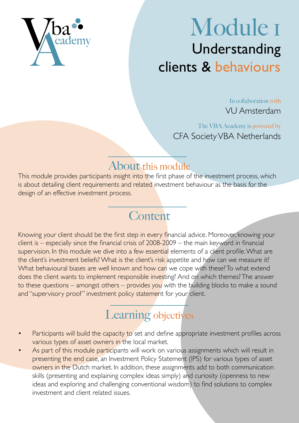

# Module 1 Understanding clients & behaviours

In collaboration with VU Amsterdam

The VBA Academy is powered by CFA Society VBA Netherlands

### About this module

This module provides participants insight into the first phase of the investment process, which is about detailing client requirements and related investment behaviour as the basis for the design of an effective investment process.

# **Content**

Knowing your client should be the first step in every financial advice. Moreover, knowing your  $c$  client is – especially since the financial crisis of 2008-2009 – the main keyword in financial supervision. In this module we dive into a few essential elements of a client profile. What are the client's investment beliefs? What is the client's risk appetite and how can we measure it? What behavioural biases are well known and how can we cope with these? To what extend does the client wants to implement responsible investing? And on which themes? The answer to these questions – amongst others – provides you with the building blocks to make a sound and "supervisory proof" investment policy statement for your client.

# Learning objectives

- Participants will build the capacity to set and define appropriate investment profiles across various types of asset owners in the local market.
- As part of this module participants will work on various assignments which will result in presenting the end case, an Investment Policy Statement (IPS) for various types of asset owners in the Dutch market. In addition, these assignments add to both communication skills (presenting and explaining complex ideas simply) and curiosity (openness to new ideas and exploring and challenging conventional wisdom) to find solutions to complex investment and client related issues.